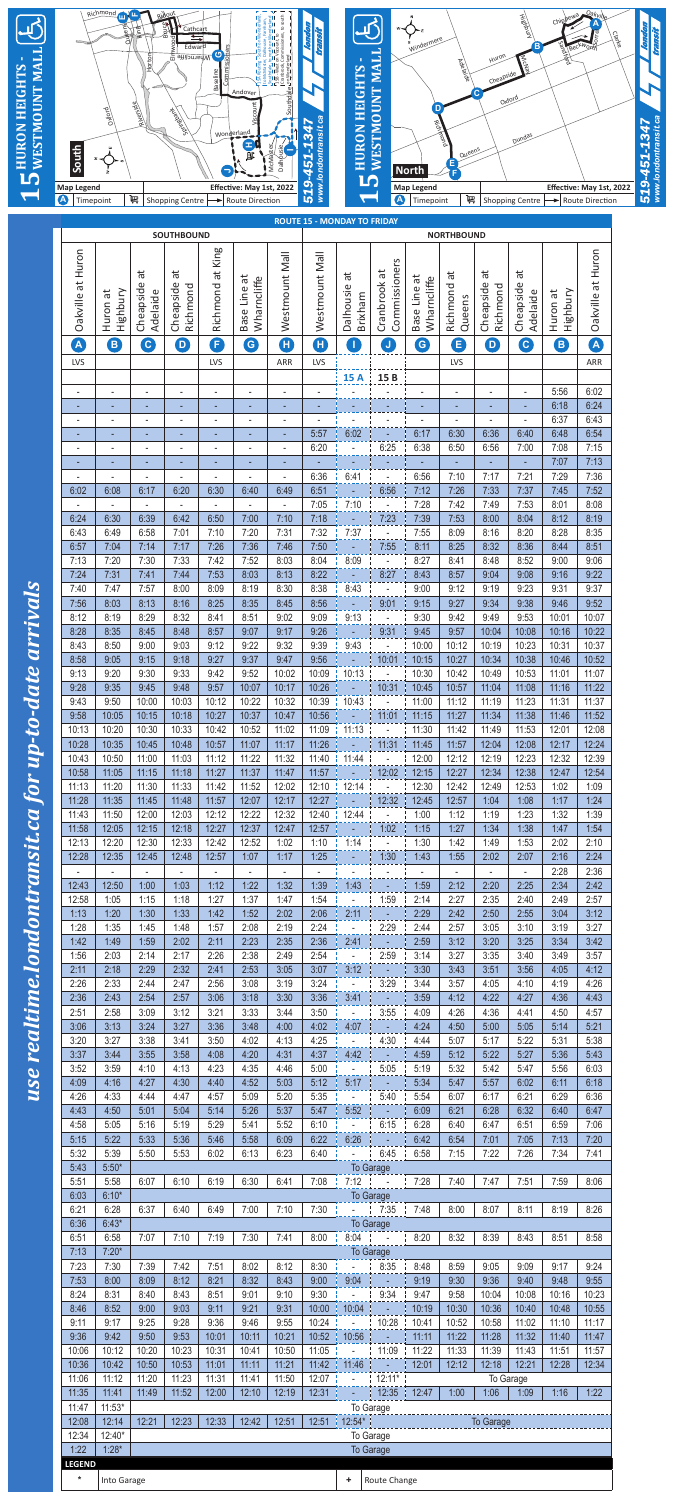

| <b>Map Legend</b><br>$\boldsymbol{\Phi}$<br>Timepoint |                                   | 岢                                | <b>Shopping Centre</b>           | U                       | Effective: May 1st, 2022<br>Route Direction |                                  | www.lo<br>519                  | LŊ                                                      | $\Delta$                                                                         | <b>Map Legend</b><br>Timepoint | 岢                                |                        | <b>Shopping Centre</b>   |                      | Effective: May 1st, 2<br>Route Direction |  |
|-------------------------------------------------------|-----------------------------------|----------------------------------|----------------------------------|-------------------------|---------------------------------------------|----------------------------------|--------------------------------|---------------------------------------------------------|----------------------------------------------------------------------------------|--------------------------------|----------------------------------|------------------------|--------------------------|----------------------|------------------------------------------|--|
|                                                       |                                   |                                  |                                  |                         |                                             |                                  |                                |                                                         |                                                                                  |                                |                                  |                        |                          |                      |                                          |  |
|                                                       |                                   |                                  | <b>SOUTHBOUND</b>                |                         |                                             |                                  |                                | <b>ROUTE 15 - MONDAY TO FRIDAY</b><br><b>NORTHBOUND</b> |                                                                                  |                                |                                  |                        |                          |                      |                                          |  |
| at Huron                                              |                                   | đ                                | đ                                | at King                 | ä                                           | Westmount Mall                   | Westmount Mall                 | đ                                                       | Commissioners<br>đ                                                               |                                | đ                                | ä                      | $\vec{a}$                |                      | Oakville at Huron                        |  |
| Oakville                                              | Highbury<br>đ<br>Huron            | Cheapside<br>Adelaide            | Cheapside<br>Richmond            | Richmond                | Wharncliffe<br>Base Line                    |                                  |                                | Dalhousie<br>Brixham                                    | Cranbrook                                                                        | Base Line at<br>Wharncliffe    | Richmond<br>Queens               | Cheapside<br>Richmond  | Cheapside<br>Adelaide    | Highbury<br>Huron at |                                          |  |
|                                                       |                                   |                                  |                                  |                         |                                             |                                  |                                |                                                         |                                                                                  |                                |                                  |                        |                          |                      |                                          |  |
| A<br>LVS                                              | B                                 | $\bullet$                        | $\bigcirc$                       | 0<br>LVS                | G                                           | Œ<br>ARR                         | Ð<br>LVS                       | T                                                       | $\bigcup$                                                                        | $\bullet$                      | Θ<br>LVS                         | $\bullet$              | $\boxed{\mathbf{C}}$     | B                    | A<br>ARR                                 |  |
|                                                       |                                   |                                  |                                  |                         |                                             |                                  |                                | <b>15 A</b>                                             | 15B                                                                              |                                |                                  |                        |                          |                      |                                          |  |
| $\overline{\phantom{a}}$                              | $\overline{a}$                    | ÷,                               | $\overline{\phantom{a}}$         |                         | $\overline{\phantom{a}}$                    | $\overline{\phantom{a}}$         |                                |                                                         |                                                                                  |                                | ÷,                               | ÷,                     | $\overline{\phantom{a}}$ | 5:56<br>6:18         | 6:02<br>6:24                             |  |
|                                                       | ٠                                 | $\overline{a}$                   |                                  |                         | ٠                                           | ٠<br>٠                           |                                |                                                         |                                                                                  |                                | ٠                                | ٠                      | ٠                        | 6:37                 | 6:43                                     |  |
|                                                       |                                   | $\overline{\phantom{m}}$         |                                  |                         |                                             | ٠<br>$\overline{\phantom{a}}$    | 5:57<br>6:20                   | 6:02                                                    | 6:25                                                                             | 6:17<br>6:38                   | 6:30<br>6:50                     | 6:36<br>6:56           | 6:40<br>7:00             | 6:48<br>7:08         | 6:54<br>7:15                             |  |
|                                                       | ٠                                 | ٠                                | ٠                                |                         |                                             | ٠                                |                                |                                                         |                                                                                  |                                | ٠                                |                        |                          | 7:07                 | 7:13                                     |  |
| 6:02                                                  | 6:08                              | 6:17                             | 6:20                             | 6:30                    | 6:40                                        | 6:49                             | 6:36<br>6:51                   | 6:41                                                    | 6:56                                                                             | 6:56<br>7:12                   | 7:10<br>7:26                     | 7:17<br>7:33           | 7:21<br>7:37             | 7:29<br>7:45         | 7:36<br>7:52                             |  |
| 6:24                                                  | 6:30                              | $\overline{\phantom{a}}$<br>6:39 | $\overline{\phantom{a}}$<br>6:42 | 6:50                    | 7:00                                        | $\overline{\phantom{0}}$<br>7:10 | 7:05<br>7:18                   | 7:10                                                    | 7:23                                                                             | 7:28<br>7:39                   | 7:42<br>7:53                     | 7:49<br>8:00           | 7:53<br>8:04             | 8:01<br>8:12         | 8:08<br>8:19                             |  |
| 6:43                                                  | 6:49                              | 6:58                             | 7:01                             | 7:10                    | 7:20                                        | 7:31                             | 7:32                           | 7:37                                                    |                                                                                  | 7:55                           | 8:09                             | 8:16                   | 8:20                     | 8:28                 | 8:35                                     |  |
| 6:57<br>7:13                                          | 7:04<br>7:20                      | 7:14<br>7:30                     | 7:17<br>7:33                     | 7:26<br>7:42            | 7:36<br>7:52                                | 7:46<br>8:03                     | 7:50<br>8:04                   | 8:09                                                    | 7:55<br>$\sim$ .                                                                 | 8:11<br>8:27                   | 8:25<br>8:41                     | 8:32<br>8:48           | 8:36<br>8:52             | 8:44<br>9:00         | 8:51<br>9:06                             |  |
| 7:24                                                  | 7:31                              | 7:41                             | 7:44                             | 7:53                    | 8:03                                        | 8:13                             | 8:22                           | $\sim 10$                                               | 8:27                                                                             | 8:43                           | 8:57                             | 9:04                   | 9:08                     | 9:16                 | 9:22                                     |  |
| 7:40<br>7:56                                          | 7:47<br>8:03                      | 7:57<br>8:13                     | 8:00<br>8:16                     | 8:09<br>8:25            | 8:19<br>8:35                                | 8:30<br>8:45                     | 8:38<br>8:56                   | 8:43<br>$\omega_{\rm c}$                                | $\blacksquare$<br>9:01                                                           | 9:00<br>9:15                   | 9:12<br>9:27                     | 9:19<br>9:34           | 9:23<br>9:38             | 9:31<br>9:46         | 9:37<br>9:52                             |  |
| 8:12<br>8:28                                          | 8:19<br>8:35                      | 8:29<br>8:45                     | 8:32<br>8:48                     | 8:41<br>8:57            | 8:51<br>9:07                                | 9:02                             | 9:09<br>9:26                   | 9:13<br>$\Delta \sim 10^4$                              | $\mathbb{R}^{2n}$                                                                | 9:30<br>9:45                   | 9:42<br>9:57                     | 9:49                   | 9:53<br>10:08            | 10:01<br>10:16       | 10:07<br>10:22                           |  |
| 8:43                                                  | 8:50                              | 9:00                             | 9:03                             | 9:12                    | 9:22                                        | 9:17<br>9:32                     | 9:39                           | 9:43                                                    | 19:31<br>$\sim$                                                                  | 10:00                          | 10:12                            | 10:04<br>10:19         | 10:23                    | 10:31                | 10:37                                    |  |
| 8:58<br>9:13                                          | 9:05<br>9:20                      | 9:15<br>9:30                     | 9:18<br>9:33                     | 9:27<br>9:42            | 9:37<br>9:52                                | 9:47<br>10:02                    | 9:56<br>10:09                  | $\omega_{\rm c}$<br>$10:13$ $\frac{1}{2}$               | 10:01<br>$\sim$ $-$                                                              | 10:15<br>10:30                 | 10:27<br>10:42                   | 10:34<br>10:49         | 10:38<br>10:53           | 10:46<br>11:01       | 10:52<br>11:07                           |  |
| 9:28                                                  | 9:35                              | 9:45                             | 9:48                             | 9:57                    | 10:07                                       | 10:17                            | 10:26                          | $\sim$ .                                                | 10:31                                                                            | 10:45                          | 10:57                            | 11:04                  | 11:08                    | 11:16                | 11:22                                    |  |
| 9:43<br>9:58                                          | 9:50<br>10:05                     | 10:00<br>10:15                   | 10:03<br>10:18                   | 10:12<br>10:27          | 10:22<br>10:37                              | 10:32<br>10:47                   | 10:39<br>10:56                 | 10:43<br>$\omega_{\rm c}$                               | $\sim$<br>$11:01$   11:15                                                        | 11:00                          | 11:12<br>11:27                   | 11:19<br>11:34         | 11:23<br>11:38           | 11:31<br>11:46       | 11:37<br>11:52                           |  |
| 10:13                                                 | 10:20                             | 10:30                            | 10:33                            | 10:42                   | 10:52                                       | 11:02                            | 11:09                          | 11:13                                                   | $\sigma_{\rm{eff}}$                                                              | 11:30                          | 11:42                            | 11:49                  | 11:53                    | 12:01                | 12:08                                    |  |
| 10:28<br>10:43                                        | 10:35<br>10:50                    | 10:45<br>11:00                   | 10:48<br>11:03                   | 10:57<br>11:12          | 11:07<br>11:22                              | 11:17<br>11:32                   | 11:26<br>11:40                 | $\sim 10$<br>11:44                                      | 11:31<br>$\overline{\phantom{a}}$                                                | 11:45<br>12:00                 | 11:57<br>12:12                   | 12:04<br>12:19         | 12:08<br>12:23           | 12:17<br>12:32       | 12:24<br>12:39                           |  |
| 10:58<br>11:13                                        | 11:05<br>11:20                    | 11:15<br>11:30                   | 11:18<br>11:33                   | 11:27<br>11:42          | 11:37<br>11:52                              | 11:47<br>12:02                   | 11:57<br>$12:10$ $\frac{1}{2}$ | $\sim$ .<br>12:14                                       | 12:02<br>$\omega_{\rm c}$                                                        | 12:15<br>12:30                 | 12:27<br>12:42                   | 12:34<br>12:49         | 12:38<br>12:53           | 12:47<br>1:02        | 12:54<br>1:09                            |  |
| 11:28                                                 | 11:35                             | 11:45                            | 11:48                            | 11:57                   | 12:07                                       | 12:17                            | 12:27                          | $\blacksquare$                                          | 12:32                                                                            | 12:45                          | 12:57                            | 1:04                   | 1:08                     | 1:17                 | 1:24                                     |  |
| 11:43<br>11:58                                        | 11:50<br>12:05                    | 12:00<br>12:15                   | 12:03<br>12:18                   | 12:12<br>12:27          | 12:22<br>12:37                              | 12:32<br>12:47                   | 12:40<br>12:57                 | 12:44<br>$\equiv$                                       | $\blacksquare$<br>1:02                                                           | 1:00<br>1:15                   | 1:12<br>1:27                     | 1:19<br>1:34           | 1:23<br>1:38             | 1:32<br>1:47         | 1:39<br>1:54                             |  |
| 12:13                                                 | 12:20                             | 12:30                            | 12:33                            | 12:42                   | 12:52                                       | 1:02                             | 1:10                           | 1:14                                                    | $\Box$                                                                           | 1:30                           | 1:42                             | 1:49                   | 1:53                     | 2:02                 | 2:10                                     |  |
| 12:28<br>$\sim$ $\sim$                                | 12:35<br>$\overline{\phantom{a}}$ | 12:45<br>$\sim$                  | 12:48<br>$\sim$                  | 12:57<br>$\blacksquare$ | 1:07<br>$\overline{\phantom{a}}$            | 1:17<br>$\blacksquare$           | 1:25<br>$\blacksquare$         | $\sim$ .                                                | 1:30<br>$\overline{\phantom{a}}$                                                 | 1:43<br>$\sim$                 | 1:55<br>$\overline{\phantom{a}}$ | 2:02<br>$\blacksquare$ | 2:07<br>$\blacksquare$   | 2:16<br>2:28         | 2:24<br>2:36                             |  |
| 12:43<br>12:58                                        | 12:50<br>1:05                     | 1:00<br>1:15                     | 1:03<br>1:18                     | 1:12<br>1:27            | 1:22<br>1:37                                | 1:32<br>1:47                     | 1:39<br>1:54                   | 1:43<br>$\sim$                                          | $\omega$<br>1:59                                                                 | 1:59<br>2:14                   | 2:12<br>2:27                     | 2:20<br>2:35           | 2:25<br>2:40             | 2:34<br>2:49         | 2:42<br>2:57                             |  |
| 1:13                                                  | 1:20                              | 1:30                             | 1:33                             | 1:42                    | 1:52                                        | 2:02                             | 2:06                           | 2:11                                                    | $\sim$ $\sim$                                                                    | 2:29                           | 2:42                             | 2:50                   | 2:55                     | 3:04                 | 3:12                                     |  |
| 1:28<br>1:42                                          | 1:35<br>1:49                      | 1:45<br>1:59                     | 1:48<br>2:02                     | 1:57<br>2:11            | 2:08<br>2:23                                | 2:19<br>2:35                     | 2:24                           | $\Delta \sim 1$<br>$2:36$   2:41                        | 2:29                                                                             | 2:44<br>2:59                   | 2:57<br>3:12                     | 3:05<br>3:20           | 3:10<br>3:25             | 3:19<br>3:34         | 3:27<br>3:42                             |  |
| 1:56                                                  | 2:03<br>2:18                      | 2:14                             | 2:17                             | 2:26                    | 2:38                                        | 2:49                             | 2:54                           | $\blacksquare$                                          | 2:59                                                                             | 3:14                           | 3:27                             | 3:35                   | 3:40                     | 3:49                 | 3:57                                     |  |
| 2:11<br>2:26                                          | 2:33                              | 2:29<br>2:44                     | 2:32<br>2:47                     | 2:41<br>2:56            | 2:53<br>3:08                                | 3:05<br>3:19                     | 3:07<br>3:24                   | 3:12<br>$\blacksquare$                                  | $\sim$<br>3:29                                                                   | 3:30<br>3:44                   | 3:43<br>3:57                     | 3:51<br>4:05           | 3:56<br>4:10             | 4:05<br>4:19         | 4:12<br>4:26                             |  |
| 2:36<br>2:51                                          | 2:43<br>2:58                      | 2:54<br>3:09                     | 2:57<br>3:12                     | 3:06<br>3:21            | 3:18<br>3:33                                | 3:30<br>3:44                     | 3:36<br>3:50                   | 3:41<br>$\blacksquare$                                  | ÷<br>3:55                                                                        | 3:59<br>4:09                   | 4:12<br>4:26                     | 4:22<br>4:36           | 4:27<br>4:41             | 4:36<br>4:50         | 4:43<br>4:57                             |  |
| 3:06                                                  | 3:13                              | 3:24                             | 3:27                             | 3:36                    | 3:48                                        | 4:00                             | 4:02                           | 4:07                                                    | $\overline{\phantom{a}}$                                                         | 4:24                           | 4:50                             | 5:00                   | 5:05                     | 5:14                 | 5:21                                     |  |
| 3:20<br>3:37                                          | 3:27<br>3:44                      | 3:38<br>3:55                     | 3:41<br>3:58                     | 3:50<br>4:08            | 4:02<br>4:20                                | 4:13<br>4:31                     | 4:25<br>4:37                   | $\overline{\phantom{a}}$<br>4:42                        | 4:30<br>$\equiv$                                                                 | 4:44<br>4:59                   | 5:07<br>5:12                     | 5:17<br>5:22           | 5:22<br>5:27             | 5:31<br>5:36         | 5:38<br>5:43                             |  |
| 3:52                                                  | 3:59<br>4:16                      | 4:10<br>4:27                     | 4:13                             | 4:23<br>4:40            | 4:35<br>4:52                                | 4:46                             | 5:00<br>5:12                   | $\blacksquare$                                          | 5:05                                                                             | 5:19                           | 5:32                             | 5:42                   | 5:47<br>6:02             | 5:56<br>6:11         | 6:03<br>6:18                             |  |
| 4:09<br>4:26                                          | 4:33                              | 4:44                             | 4:30<br>4:47                     | 4:57                    | 5:09                                        | 5:03<br>5:20                     | 5:35                           | 5:17<br>$\blacksquare$                                  | ÷,<br>5:40                                                                       | 5:34<br>5:54                   | 5:47<br>6:07                     | 5:57<br>6:17           | 6:21                     | 6:29                 | 6:36                                     |  |
| 4:43<br>4:58                                          | 4:50<br>5:05                      | 5:01<br>5:16                     | 5:04<br>5:19                     | 5:14<br>5:29            | 5:26<br>5:41                                | 5:37<br>5:52                     | 5:47<br>6:10                   | 5:52<br>$\overline{\phantom{a}}$                        | 6:15                                                                             | 6:09<br>6:28                   | 6:21<br>6:40                     | 6:28<br>6:47           | 6:32<br>6:51             | 6:40<br>6:59         | 6:47<br>7:06                             |  |
| 5:15                                                  | 5:22                              | 5:33                             | 5:36                             | 5:46                    | 5:58                                        | 6:09                             | 6:22                           | 6:26                                                    | ٩                                                                                | 6:42                           | 6:54                             | 7:01                   | 7:05                     | 7:13                 | 7:20                                     |  |
| 5:32<br>5:43                                          | 5:39<br>$5:50*$                   | 5:50                             | 5:53                             | 6:02                    | 6:13                                        | 6:23                             | 6:40                           | $\omega_{\rm{max}}$                                     | 16:45<br>To Garage                                                               | 6:58                           | 7:15                             | 7:22                   | 7:26                     | 7:34                 | 7:41                                     |  |
| 5:51<br>6:03                                          | 5:58<br>$6:10*$                   | 6:07                             | 6:10                             | 6:19                    | 6:30                                        | 6:41                             | $7:08$ $\frac{1}{1}$           |                                                         | $7:12$ $\phantom{0}$ $\phantom{0}$ $\phantom{0}$ $\phantom{0}$ 7:28<br>To Garage |                                | 7:40                             | 7:47                   | 7:51                     | 7:59                 | 8:06                                     |  |
| 6:21                                                  | 6:28                              | 6:37                             | 6:40                             | 6:49                    | 7:00                                        | 7:10                             | 7:30                           |                                                         | $- 17:35 17:48$                                                                  |                                | 8:00                             | 8:07                   | 8:11                     | 8:19                 | 8:26                                     |  |
| 6:36<br>6:51                                          | $6:43*$<br>6:58                   | 7:07                             | 7:10                             | 7:19                    | 7:30                                        | 7:41                             | 8:00                           |                                                         | To Garage<br>$8:04$ $ 8:20$                                                      |                                | 8:32                             | 8:39                   | 8:43                     | 8:51                 | 8:58                                     |  |
| 7:13                                                  | $7:20*$                           |                                  |                                  |                         |                                             |                                  |                                |                                                         | To Garage                                                                        |                                |                                  |                        |                          |                      |                                          |  |
| 7:23<br>7:53                                          | 7:30<br>8:00                      | 7:39<br>8:09                     | 7:42<br>8:12                     | 7:51<br>8:21            | 8:02<br>8:32                                | 8:12<br>8:43                     | 8:30<br>9:00                   | 9:04                                                    | $ \frac{1}{1}$ 8:35 $\frac{1}{1}$<br>$\sim$                                      | 8:48<br>9:19                   | 8:59<br>9:30                     | 9:05<br>9:36           | 9:09<br>9:40             | 9:17<br>9:48         | 9:24<br>9:55                             |  |
| 8:24<br>8:46                                          | 8:31<br>8:52                      | 8:40<br>9:00                     | 8:43<br>9:03                     | 8:51<br>9:11            | 9:01<br>9:21                                | 9:10<br>9:31                     | 9:30<br>10:00                  | $\mathbb{Z}^{\mathbb{Z}}$<br>10:04                      | 9:34<br>$\omega_{\rm{eff}}$                                                      | 9:47<br>10:19                  | 9:58<br>10:30                    | 10:04<br>10:36         | 10:08<br>10:40           | 10:16<br>10:48       | 10:23<br>10:55                           |  |
| 9:11                                                  | 9:17                              | 9:25                             | 9:28                             | 9:36                    | 9:46                                        | 9:55                             | 10:24                          | $\sim 100$                                              | $\frac{1}{2}$ 10:28 $\frac{1}{2}$ 10:41                                          |                                | 10:52                            | 10:58                  | 11:02                    | 11:10                | 11:17                                    |  |
| 9:36<br>10:06                                         | 9:42<br>10:12                     | 9:50<br>10:20                    | 9:53<br>10:23                    | 10:01<br>10:31          | 10:11<br>10:41                              | 10:21<br>10:50                   | 10:52<br>11:05                 | 10:56 1<br>$\blacksquare$                               | $\sim 100$<br>$11:09$ $\frac{1}{1}$                                              | 11:11<br>11:22                 | 11:22<br>11:33                   | 11:28<br>11:39         | 11:32<br>11:43           | 11:40<br>11:51       | 11:47<br>11:57                           |  |
| 10:36                                                 | 10:42                             | 10:50                            | 10:53                            | 11:01                   | 11:11                                       | 11:21                            | 11:42                          | 11:46                                                   | ÷.                                                                               | 12:01                          | 12:12                            | 12:18                  | 12:21                    | 12:28                | 12:34                                    |  |
| 11:06<br>11:35                                        | 11:12<br>11:41                    | 11:20<br>11:49                   | 11:23<br>11:52                   | 11:31<br>12:00          | 11:41<br>12:10                              | 11:50<br>12:19                   | 12:07  <br>12:31               | $\omega_{\rm{eff}}$                                     | $\frac{1}{2}$ 12:11* $\frac{1}{2}$<br>$12:35$ $12:47$                            |                                | 1:00                             | 1:06                   | To Garage<br>1:09        | 1:16                 | 1:22                                     |  |
| 11:47<br>12:08                                        | $11:53*$<br>12:14                 | 12:21                            | 12:23                            | 12:33                   | 12:42                                       | 12:51                            |                                | 12:51   12:54*                                          | To Garage                                                                        |                                |                                  |                        |                          |                      |                                          |  |
| 12:34                                                 | $12:40*$                          |                                  |                                  |                         |                                             |                                  |                                | To Garage                                               |                                                                                  |                                |                                  | To Garage              |                          |                      |                                          |  |
| 1:22<br><b>LEGEND</b>                                 | $1:28*$                           | To Garage                        |                                  |                         |                                             |                                  |                                |                                                         |                                                                                  |                                |                                  |                        |                          |                      |                                          |  |
| $\ast$                                                | Into Garage                       |                                  |                                  |                         |                                             |                                  |                                | ÷.                                                      | Route Change                                                                     |                                |                                  |                        |                          |                      |                                          |  |